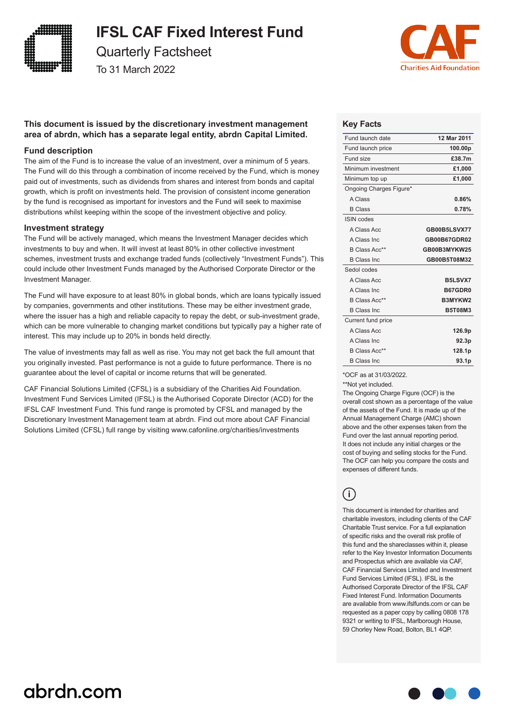

**IFSL CAF Fixed Interest Fund**

Quarterly Factsheet

To 31 March 2022



# **This document is issued by the discretionary investment management area of abrdn, which has a separate legal entity, abrdn Capital Limited.**

### **Fund description**

The aim of the Fund is to increase the value of an investment, over a minimum of 5 years. The Fund will do this through a combination of income received by the Fund, which is money paid out of investments, such as dividends from shares and interest from bonds and capital growth, which is profit on investments held. The provision of consistent income generation by the fund is recognised as important for investors and the Fund will seek to maximise distributions whilst keeping within the scope of the investment objective and policy.

#### **Investment strategy**

The Fund will be actively managed, which means the Investment Manager decides which investments to buy and when. It will invest at least 80% in other collective investment schemes, investment trusts and exchange traded funds (collectively "Investment Funds"). This could include other Investment Funds managed by the Authorised Corporate Director or the Investment Manager.

The Fund will have exposure to at least 80% in global bonds, which are loans typically issued by companies, governments and other institutions. These may be either investment grade, where the issuer has a high and reliable capacity to repay the debt, or sub-investment grade, which can be more vulnerable to changing market conditions but typically pay a higher rate of interest. This may include up to 20% in bonds held directly.

The value of investments may fall as well as rise. You may not get back the full amount that you originally invested. Past performance is not a guide to future performance. There is no guarantee about the level of capital or income returns that will be generated.

CAF Financial Solutions Limited (CFSL) is a subsidiary of the Charities Aid Foundation. Investment Fund Services Limited (IFSL) is the Authorised Coporate Director (ACD) for the IFSL CAF Investment Fund. This fund range is promoted by CFSL and managed by the Discretionary Investment Management team at abrdn. Find out more about CAF Financial Solutions Limited (CFSL) full range by visiting www.cafonline.org/charities/investments

## **Key Facts**

| 12 Mar 2011    |
|----------------|
| 100.00p        |
| £38.7m         |
| £1,000         |
| £1,000         |
|                |
| 0.86%          |
| 0.78%          |
|                |
| GB00B5LSVX77   |
| GB00B67GDR02   |
| GB00B3MYKW25   |
| GB00B5T08M32   |
|                |
| B5LSVX7        |
| <b>B67GDR0</b> |
| B3MYKW2        |
| <b>B5T08M3</b> |
|                |
| 126.9p         |
| 92.3p          |
| 128.1p         |
| 93.1p          |
|                |

\*OCF as at 31/03/2022.

\*\*Not yet included.

The Ongoing Charge Figure (OCF) is the overall cost shown as a percentage of the value of the assets of the Fund. It is made up of the Annual Management Charge (AMC) shown above and the other expenses taken from the Fund over the last annual reporting period. It does not include any initial charges or the cost of buying and selling stocks for the Fund. The OCF can help you compare the costs and expenses of different funds.

# **i**

This document is intended for charities and charitable investors, including clients of the CAF Charitable Trust service. For a full explanation of specific risks and the overall risk profile of this fund and the shareclasses within it, please refer to the Key Investor Information Documents and Prospectus which are available via CAF, CAF Financial Services Limited and Investment Fund Services Limited (IFSL). IFSL is the Authorised Corporate Director of the IFSL CAF Fixed Interest Fund. Information Documents are available from www.ifslfunds.com or can be requested as a paper copy by calling 0808 178 9321 or writing to IFSL, Marlborough House, 59 Chorley New Road, Bolton, BL1 4QP.

# abrdn.com

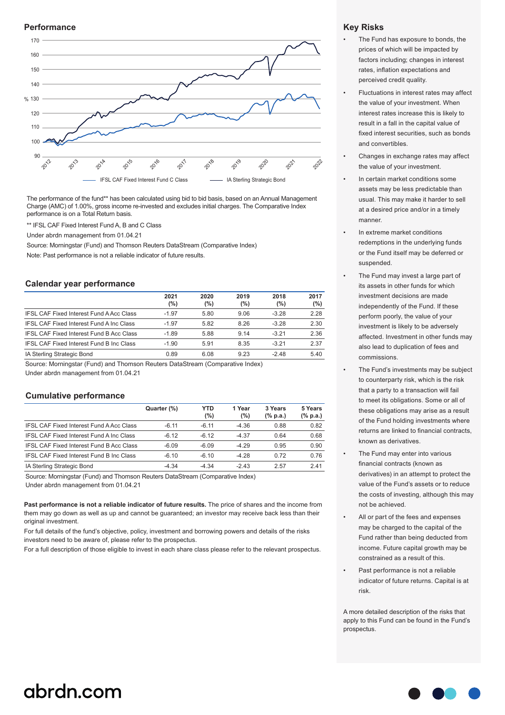#### **Performance**



The performance of the fund\*\* has been calculated using bid to bid basis, based on an Annual Management Charge (AMC) of 1.00%, gross income re-invested and excludes initial charges. The Comparative Index performance is on a Total Return basis.

\*\* IFSL CAF Fixed Interest Fund A, B and C Class

Under abrdn management from 01.04.21

Source: Morningstar (Fund) and Thomson Reuters DataStream (Comparative Index)

Note: Past performance is not a reliable indicator of future results.

#### **Calendar year performance**

|                                                 | 2021<br>$(\%)$ | 2020<br>(%) | 2019<br>(%) | 2018<br>(%) | 2017<br>$(\%)$ |
|-------------------------------------------------|----------------|-------------|-------------|-------------|----------------|
| <b>IFSL CAF Fixed Interest Fund A Acc Class</b> | $-1.97$        | 5.80        | 9.06        | $-3.28$     | 2.28           |
| <b>IFSL CAF Fixed Interest Fund A Inc Class</b> | $-1.97$        | 5.82        | 8.26        | $-3.28$     | 2.30           |
| <b>IFSL CAF Fixed Interest Fund B Acc Class</b> | $-1.89$        | 5.88        | 9.14        | $-3.21$     | 2.36           |
| <b>IFSL CAF Fixed Interest Fund B Inc Class</b> | $-1.90$        | 5.91        | 8.35        | $-3.21$     | 2.37           |
| IA Sterling Strategic Bond                      | 0.89           | 6.08        | 9.23        | -248        | 5.40           |

Source: Morningstar (Fund) and Thomson Reuters DataStream (Comparative Index) Under abrdn management from 01.04.21

#### **Cumulative performance**

|                                                 | Quarter (%) | <b>YTD</b><br>$(\%)$ | 1 Year<br>(%) | 3 Years<br>$(\%$ p.a.) | 5 Years<br>$(\%$ p.a.) |
|-------------------------------------------------|-------------|----------------------|---------------|------------------------|------------------------|
| <b>IFSL CAF Fixed Interest Fund A Acc Class</b> | $-6, 11$    | $-6.11$              | $-4.36$       | 0.88                   | 0.82                   |
| <b>IFSL CAF Fixed Interest Fund A Inc Class</b> | $-6.12$     | $-6.12$              | $-4.37$       | 0.64                   | 0.68                   |
| <b>IFSL CAF Fixed Interest Fund B Acc Class</b> | $-6.09$     | $-6.09$              | $-429$        | 0.95                   | 0.90                   |
| <b>IFSL CAF Fixed Interest Fund B Inc Class</b> | $-6.10$     | $-6.10$              | $-4.28$       | 0.72                   | 0.76                   |
| IA Sterling Strategic Bond                      | $-4.34$     | $-4.34$              | $-243$        | 2.57                   | 2.41                   |

Source: Morningstar (Fund) and Thomson Reuters DataStream (Comparative Index) Under abrdn management from 01.04.21

**Past performance is not a reliable indicator of future results.** The price of shares and the income from them may go down as well as up and cannot be guaranteed; an investor may receive back less than their original investment.

For full details of the fund's objective, policy, investment and borrowing powers and details of the risks investors need to be aware of, please refer to the prospectus.

For a full description of those eligible to invest in each share class please refer to the relevant prospectus.

### **Key Risks**

- The Fund has exposure to bonds, the prices of which will be impacted by factors including; changes in interest rates, inflation expectations and perceived credit quality.
- Fluctuations in interest rates may affect the value of your investment. When interest rates increase this is likely to result in a fall in the capital value of fixed interest securities, such as bonds and convertibles.
- Changes in exchange rates may affect the value of your investment.
- In certain market conditions some assets may be less predictable than usual. This may make it harder to sell at a desired price and/or in a timely manner.
- In extreme market conditions redemptions in the underlying funds or the Fund itself may be deferred or suspended.
- The Fund may invest a large part of its assets in other funds for which investment decisions are made independently of the Fund. If these perform poorly, the value of your investment is likely to be adversely affected. Investment in other funds may also lead to duplication of fees and commissions.
- The Fund's investments may be subject to counterparty risk, which is the risk that a party to a transaction will fail to meet its obligations. Some or all of these obligations may arise as a result of the Fund holding investments where returns are linked to financial contracts, known as derivatives.
- The Fund may enter into various financial contracts (known as derivatives) in an attempt to protect the value of the Fund's assets or to reduce the costs of investing, although this may not be achieved.
- All or part of the fees and expenses may be charged to the capital of the Fund rather than being deducted from income. Future capital growth may be constrained as a result of this.
- Past performance is not a reliable indicator of future returns. Capital is at risk.

A more detailed description of the risks that apply to this Fund can be found in the Fund's prospectus.

# abrdn.com